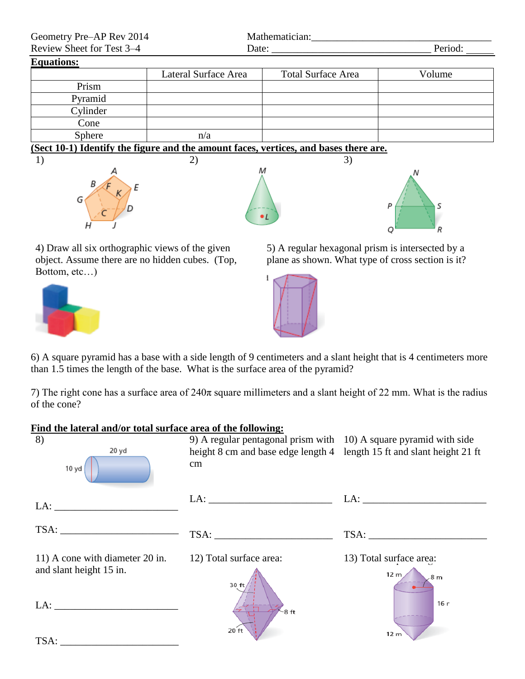| Geometry Pre-AP Rev 2014                                                          |                      | Mathematician:            |         |  |
|-----------------------------------------------------------------------------------|----------------------|---------------------------|---------|--|
| Review Sheet for Test 3–4                                                         | Date:                |                           | Period: |  |
| <b>Equations:</b>                                                                 |                      |                           |         |  |
|                                                                                   | Lateral Surface Area | <b>Total Surface Area</b> | Volume  |  |
| Prism                                                                             |                      |                           |         |  |
| Pyramid                                                                           |                      |                           |         |  |
| Cylinder                                                                          |                      |                           |         |  |
| Cone                                                                              |                      |                           |         |  |
| Sphere                                                                            | n/a                  |                           |         |  |
| (Sect 10.1) Identify the figure and the amount faces vertices and hases there are |                      |                           |         |  |

**(Sect 10-1) Identify the figure and the amount faces, vertices, and bases there are.**





S P O R

4) Draw all six orthographic views of the given object. Assume there are no hidden cubes. (Top, Bottom, etc…)



5) A regular hexagonal prism is intersected by a plane as shown. What type of cross section is it?



6) A square pyramid has a base with a side length of 9 centimeters and a slant height that is 4 centimeters more than 1.5 times the length of the base. What is the surface area of the pyramid?

7) The right cone has a surface area of  $240\pi$  square millimeters and a slant height of 22 mm. What is the radius of the cone?

## **Find the lateral and/or total surface area of the following:**

| 8)<br>20 yd<br>10 yd                                                                                                                                                                                                                                                                                                                                                                                                                                                        | 9) A regular pentagonal prism with 10) A square pyramid with side<br>height 8 cm and base edge length 4 length 15 ft and slant height 21 ft<br>cm |                                                                      |
|-----------------------------------------------------------------------------------------------------------------------------------------------------------------------------------------------------------------------------------------------------------------------------------------------------------------------------------------------------------------------------------------------------------------------------------------------------------------------------|---------------------------------------------------------------------------------------------------------------------------------------------------|----------------------------------------------------------------------|
|                                                                                                                                                                                                                                                                                                                                                                                                                                                                             | LA:                                                                                                                                               | LA:                                                                  |
| $\text{TSA:}\n \underline{\hspace{2cm}}\n \begin{array}{c}\n \text{1.13}\n \end{array}\n \begin{array}{c}\n \text{1.13}\n \end{array}\n \begin{array}{c}\n \text{1.13}\n \end{array}\n \begin{array}{c}\n \text{1.13}\n \end{array}\n \begin{array}{c}\n \text{1.13}\n \end{array}\n \begin{array}{c}\n \text{1.13}\n \end{array}\n \begin{array}{c}\n \text{1.13}\n \end{array}\n \end{array}\n \begin{array}{c}\n \text{1.13}\n \end{array}\n \begin{array}{c}\n \text{1$ |                                                                                                                                                   |                                                                      |
| 11) A cone with diameter 20 in.<br>and slant height 15 in.<br>LA:                                                                                                                                                                                                                                                                                                                                                                                                           | 12) Total surface area:<br>30 ft                                                                                                                  | 13) Total surface area:<br>12 <sub>m</sub><br>8 <sub>m</sub><br>16 r |
| TSA:                                                                                                                                                                                                                                                                                                                                                                                                                                                                        | 8ft<br>20 ft                                                                                                                                      | 12 m                                                                 |